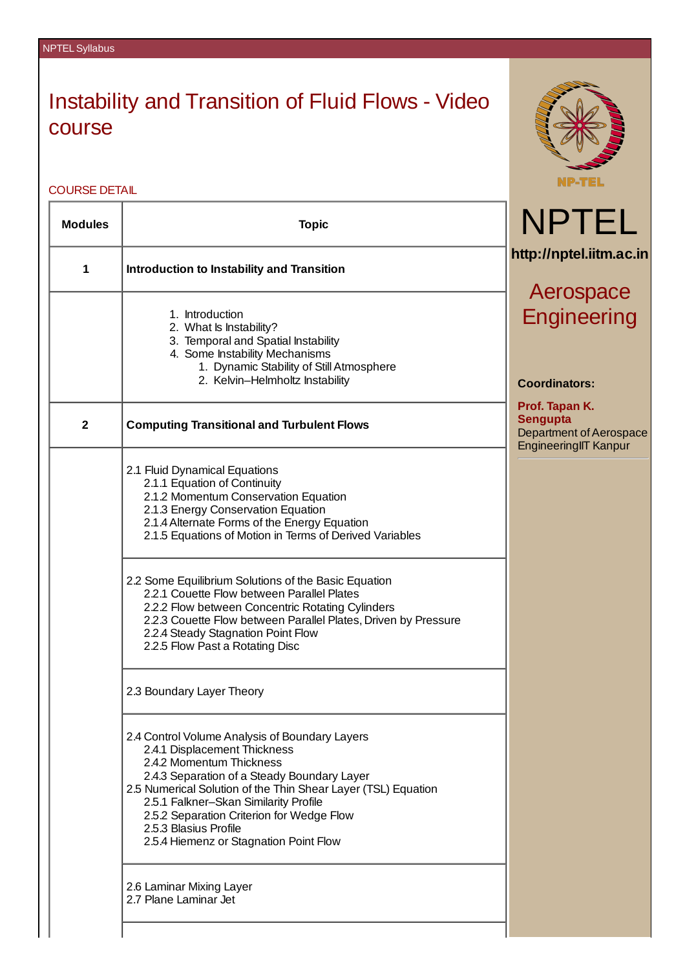## Instability and Transition of Fluid Flows - Video course

COURSE DETAIL

 $\mathbf{r}$ 

| <b>Modules</b> | <b>Topic</b>                                                                                                                                                                                                                                                                                                                                                                        | <b>NPTEL</b>                                                                                        |
|----------------|-------------------------------------------------------------------------------------------------------------------------------------------------------------------------------------------------------------------------------------------------------------------------------------------------------------------------------------------------------------------------------------|-----------------------------------------------------------------------------------------------------|
| $\mathbf{1}$   | <b>Introduction to Instability and Transition</b>                                                                                                                                                                                                                                                                                                                                   | http://nptel.iitm.ac.in                                                                             |
|                |                                                                                                                                                                                                                                                                                                                                                                                     | Aerospace                                                                                           |
|                | 1. Introduction<br>2. What Is Instability?<br>3. Temporal and Spatial Instability<br>4. Some Instability Mechanisms<br>1. Dynamic Stability of Still Atmosphere<br>2. Kelvin-Helmholtz Instability                                                                                                                                                                                  | Engineering<br><b>Coordinators:</b>                                                                 |
| $\overline{2}$ | <b>Computing Transitional and Turbulent Flows</b>                                                                                                                                                                                                                                                                                                                                   | Prof. Tapan K.<br><b>Sengupta</b><br><b>Department of Aerospace</b><br><b>EngineeringIIT Kanpur</b> |
|                | 2.1 Fluid Dynamical Equations<br>2.1.1 Equation of Continuity<br>2.1.2 Momentum Conservation Equation<br>2.1.3 Energy Conservation Equation<br>2.1.4 Alternate Forms of the Energy Equation<br>2.1.5 Equations of Motion in Terms of Derived Variables                                                                                                                              |                                                                                                     |
|                | 2.2 Some Equilibrium Solutions of the Basic Equation<br>2.2.1 Couette Flow between Parallel Plates<br>2.2.2 Flow between Concentric Rotating Cylinders<br>2.2.3 Couette Flow between Parallel Plates, Driven by Pressure<br>2.2.4 Steady Stagnation Point Flow<br>2.2.5 Flow Past a Rotating Disc                                                                                   |                                                                                                     |
|                | 2.3 Boundary Layer Theory                                                                                                                                                                                                                                                                                                                                                           |                                                                                                     |
|                | 2.4 Control Volume Analysis of Boundary Layers<br>2.4.1 Displacement Thickness<br>2.4.2 Momentum Thickness<br>2.4.3 Separation of a Steady Boundary Layer<br>2.5 Numerical Solution of the Thin Shear Layer (TSL) Equation<br>2.5.1 Falkner-Skan Similarity Profile<br>2.5.2 Separation Criterion for Wedge Flow<br>2.5.3 Blasius Profile<br>2.5.4 Hiemenz or Stagnation Point Flow |                                                                                                     |
|                | 2.6 Laminar Mixing Layer<br>2.7 Plane Laminar Jet                                                                                                                                                                                                                                                                                                                                   |                                                                                                     |
|                |                                                                                                                                                                                                                                                                                                                                                                                     |                                                                                                     |

**NP-TEL**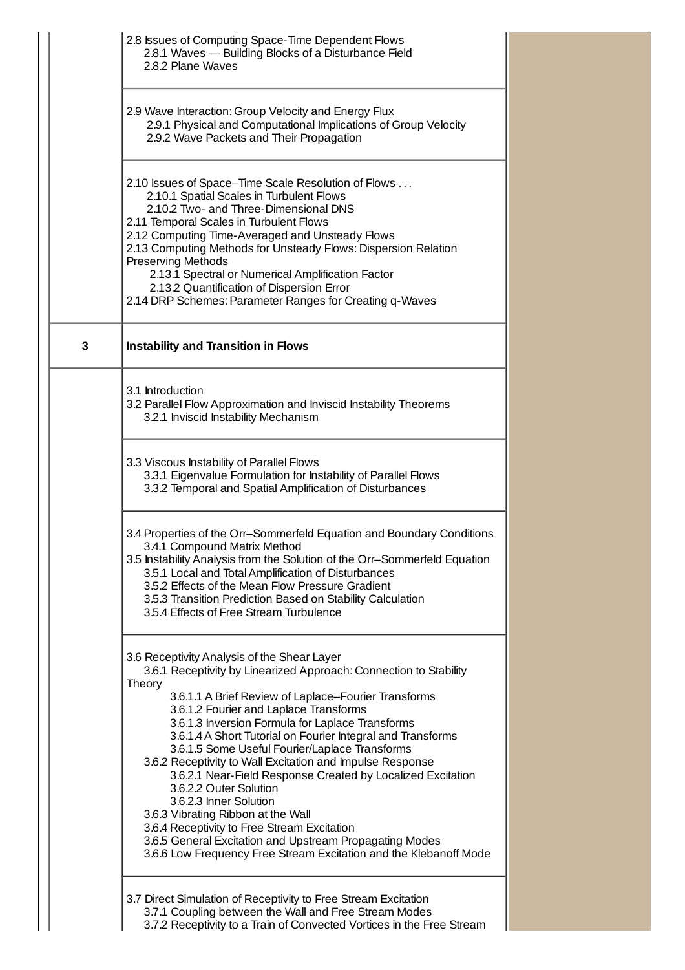|   | 2.8 Issues of Computing Space-Time Dependent Flows<br>2.8.1 Waves - Building Blocks of a Disturbance Field<br>2.8.2 Plane Waves                                                                                                                                                                                                                                                                                                                                                                                                                                                                                                                                                                                                                                                                        |
|---|--------------------------------------------------------------------------------------------------------------------------------------------------------------------------------------------------------------------------------------------------------------------------------------------------------------------------------------------------------------------------------------------------------------------------------------------------------------------------------------------------------------------------------------------------------------------------------------------------------------------------------------------------------------------------------------------------------------------------------------------------------------------------------------------------------|
|   | 2.9 Wave Interaction: Group Velocity and Energy Flux<br>2.9.1 Physical and Computational Implications of Group Velocity<br>2.9.2 Wave Packets and Their Propagation                                                                                                                                                                                                                                                                                                                                                                                                                                                                                                                                                                                                                                    |
|   | 2.10 Issues of Space-Time Scale Resolution of Flows<br>2.10.1 Spatial Scales in Turbulent Flows<br>2.10.2 Two- and Three-Dimensional DNS<br>2.11 Temporal Scales in Turbulent Flows<br>2.12 Computing Time-Averaged and Unsteady Flows<br>2.13 Computing Methods for Unsteady Flows: Dispersion Relation<br><b>Preserving Methods</b><br>2.13.1 Spectral or Numerical Amplification Factor<br>2.13.2 Quantification of Dispersion Error<br>2.14 DRP Schemes: Parameter Ranges for Creating q-Waves                                                                                                                                                                                                                                                                                                     |
| 3 | <b>Instability and Transition in Flows</b>                                                                                                                                                                                                                                                                                                                                                                                                                                                                                                                                                                                                                                                                                                                                                             |
|   | 3.1 Introduction<br>3.2 Parallel Flow Approximation and Inviscid Instability Theorems<br>3.2.1 Inviscid Instability Mechanism                                                                                                                                                                                                                                                                                                                                                                                                                                                                                                                                                                                                                                                                          |
|   | 3.3 Viscous Instability of Parallel Flows<br>3.3.1 Eigenvalue Formulation for Instability of Parallel Flows<br>3.3.2 Temporal and Spatial Amplification of Disturbances                                                                                                                                                                                                                                                                                                                                                                                                                                                                                                                                                                                                                                |
|   | 3.4 Properties of the Orr-Sommerfeld Equation and Boundary Conditions<br>3.4.1 Compound Matrix Method<br>3.5 Instability Analysis from the Solution of the Orr-Sommerfeld Equation<br>3.5.1 Local and Total Amplification of Disturbances<br>3.5.2 Effects of the Mean Flow Pressure Gradient<br>3.5.3 Transition Prediction Based on Stability Calculation<br>3.5.4 Effects of Free Stream Turbulence                                                                                                                                                                                                                                                                                                                                                                                                 |
|   | 3.6 Receptivity Analysis of the Shear Layer<br>3.6.1 Receptivity by Linearized Approach: Connection to Stability<br>Theory<br>3.6.1.1 A Brief Review of Laplace-Fourier Transforms<br>3.6.1.2 Fourier and Laplace Transforms<br>3.6.1.3 Inversion Formula for Laplace Transforms<br>3.6.1.4 A Short Tutorial on Fourier Integral and Transforms<br>3.6.1.5 Some Useful Fourier/Laplace Transforms<br>3.6.2 Receptivity to Wall Excitation and Impulse Response<br>3.6.2.1 Near-Field Response Created by Localized Excitation<br>3.6.2.2 Outer Solution<br>3.6.2.3 Inner Solution<br>3.6.3 Vibrating Ribbon at the Wall<br>3.6.4 Receptivity to Free Stream Excitation<br>3.6.5 General Excitation and Upstream Propagating Modes<br>3.6.6 Low Frequency Free Stream Excitation and the Klebanoff Mode |
|   | 3.7 Direct Simulation of Receptivity to Free Stream Excitation<br>3.7.1 Coupling between the Wall and Free Stream Modes<br>3.7.2 Receptivity to a Train of Convected Vortices in the Free Stream                                                                                                                                                                                                                                                                                                                                                                                                                                                                                                                                                                                                       |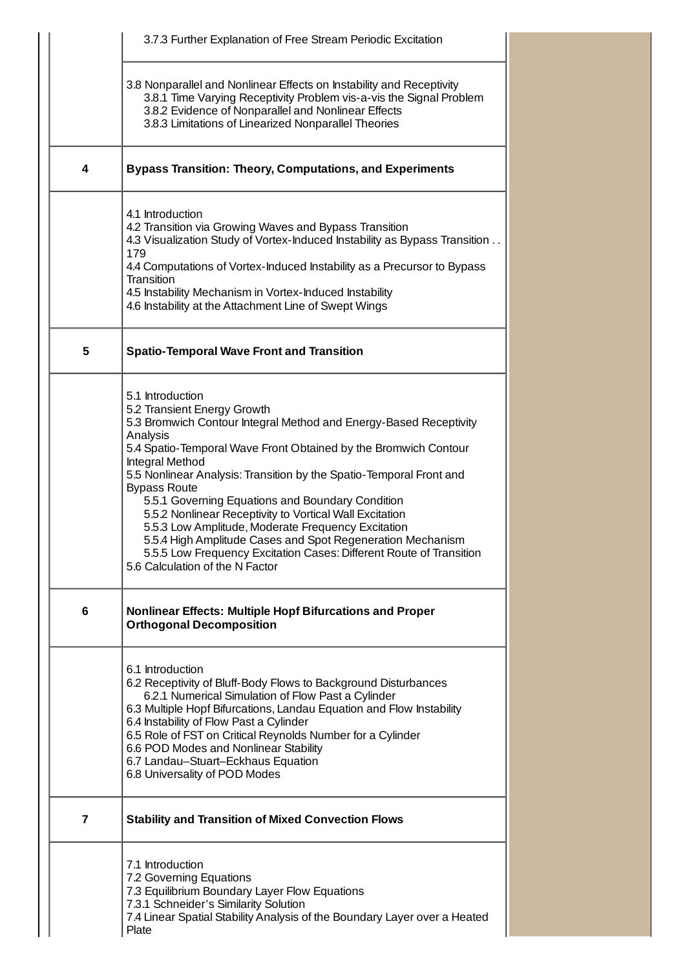|   | 3.7.3 Further Explanation of Free Stream Periodic Excitation                                                                                                                                                                                                                                                                                                                                                                                                                                                                                                                                                                                                      |
|---|-------------------------------------------------------------------------------------------------------------------------------------------------------------------------------------------------------------------------------------------------------------------------------------------------------------------------------------------------------------------------------------------------------------------------------------------------------------------------------------------------------------------------------------------------------------------------------------------------------------------------------------------------------------------|
|   | 3.8 Nonparallel and Nonlinear Effects on Instability and Receptivity<br>3.8.1 Time Varying Receptivity Problem vis-a-vis the Signal Problem<br>3.8.2 Evidence of Nonparallel and Nonlinear Effects<br>3.8.3 Limitations of Linearized Nonparallel Theories                                                                                                                                                                                                                                                                                                                                                                                                        |
| 4 | <b>Bypass Transition: Theory, Computations, and Experiments</b>                                                                                                                                                                                                                                                                                                                                                                                                                                                                                                                                                                                                   |
|   | 4.1 Introduction<br>4.2 Transition via Growing Waves and Bypass Transition<br>4.3 Visualization Study of Vortex-Induced Instability as Bypass Transition<br>179<br>4.4 Computations of Vortex-Induced Instability as a Precursor to Bypass<br>Transition<br>4.5 Instability Mechanism in Vortex-Induced Instability<br>4.6 Instability at the Attachment Line of Swept Wings                                                                                                                                                                                                                                                                                      |
| 5 | <b>Spatio-Temporal Wave Front and Transition</b>                                                                                                                                                                                                                                                                                                                                                                                                                                                                                                                                                                                                                  |
|   | 5.1 Introduction<br>5.2 Transient Energy Growth<br>5.3 Bromwich Contour Integral Method and Energy-Based Receptivity<br>Analysis<br>5.4 Spatio-Temporal Wave Front Obtained by the Bromwich Contour<br>Integral Method<br>5.5 Nonlinear Analysis: Transition by the Spatio-Temporal Front and<br><b>Bypass Route</b><br>5.5.1 Governing Equations and Boundary Condition<br>5.5.2 Nonlinear Receptivity to Vortical Wall Excitation<br>5.5.3 Low Amplitude, Moderate Frequency Excitation<br>5.5.4 High Amplitude Cases and Spot Regeneration Mechanism<br>5.5.5 Low Frequency Excitation Cases: Different Route of Transition<br>5.6 Calculation of the N Factor |
| 6 | <b>Nonlinear Effects: Multiple Hopf Bifurcations and Proper</b><br><b>Orthogonal Decomposition</b>                                                                                                                                                                                                                                                                                                                                                                                                                                                                                                                                                                |
|   | 6.1 Introduction<br>6.2 Receptivity of Bluff-Body Flows to Background Disturbances<br>6.2.1 Numerical Simulation of Flow Past a Cylinder<br>6.3 Multiple Hopf Bifurcations, Landau Equation and Flow Instability<br>6.4 Instability of Flow Past a Cylinder<br>6.5 Role of FST on Critical Reynolds Number for a Cylinder<br>6.6 POD Modes and Nonlinear Stability<br>6.7 Landau-Stuart-Eckhaus Equation<br>6.8 Universality of POD Modes                                                                                                                                                                                                                         |
| 7 | <b>Stability and Transition of Mixed Convection Flows</b>                                                                                                                                                                                                                                                                                                                                                                                                                                                                                                                                                                                                         |
|   | 7.1 Introduction<br>7.2 Governing Equations<br>7.3 Equilibrium Boundary Layer Flow Equations<br>7.3.1 Schneider's Similarity Solution<br>7.4 Linear Spatial Stability Analysis of the Boundary Layer over a Heated<br>Plate                                                                                                                                                                                                                                                                                                                                                                                                                                       |